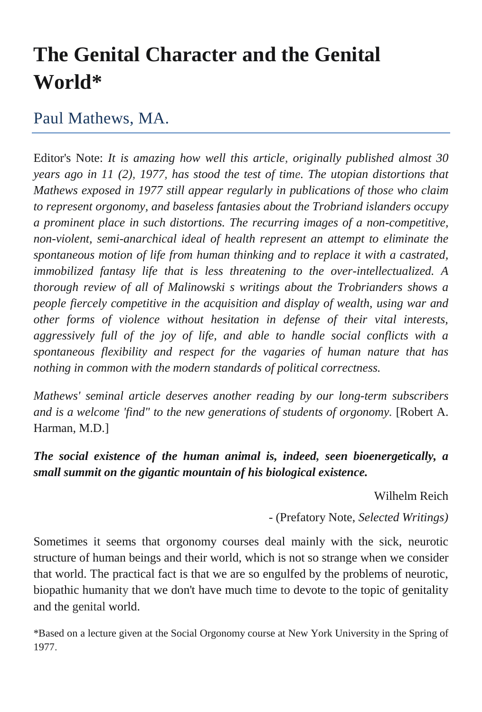## **The Genital Character and the Genital World\***

## Paul Mathews, MA.

Editor's Note: *It is amazing how well this article, originally published almost 30 years ago in 11 (2), 1977, has stood the test of time. The utopian distortions that Mathews exposed in 1977 still appear regularly in publications of those who claim to represent orgonomy, and baseless fantasies about the Trobriand islanders occupy a prominent place in such distortions. The recurring images of a non-competitive, non-violent, semi-anarchical ideal of health represent an attempt to eliminate the spontaneous motion of life from human thinking and to replace it with a castrated, immobilized fantasy life that is less threatening to the over-intellectualized. A thorough review of all of Malinowski s writings about the Trobrianders shows a people fiercely competitive in the acquisition and display of wealth, using war and other forms of violence without hesitation in defense of their vital interests, aggressively full of the joy of life, and able to handle social conflicts with a spontaneous flexibility and respect for the vagaries of human nature that has nothing in common with the modern standards of political correctness.*

*Mathews' seminal article deserves another reading by our long-term subscribers and is a welcome 'find" to the new generations of students of orgonomy.* [Robert A. Harman, M.D.]

## *The social existence of the human animal is, indeed, seen bioenergetically, a small summit on the gigantic mountain of his biological existence.*

Wilhelm Reich

- (Prefatory Note, *Selected Writings)*

Sometimes it seems that orgonomy courses deal mainly with the sick, neurotic structure of human beings and their world, which is not so strange when we consider that world. The practical fact is that we are so engulfed by the problems of neurotic, biopathic humanity that we don't have much time to devote to the topic of genitality and the genital world.

\*Based on a lecture given at the Social Orgonomy course at New York University in the Spring of 1977.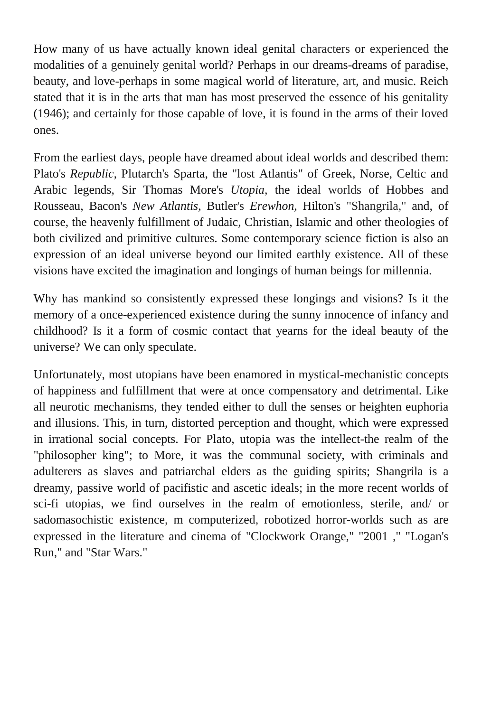How many of us have actually known ideal genital characters or experienced the modalities of a genuinely genital world? Perhaps in our dreams-dreams of paradise, beauty, and love-perhaps in some magical world of literature, art, and music. Reich stated that it is in the arts that man has most preserved the essence of his genitality (1946); and certainly for those capable of love, it is found in the arms of their loved ones.

From the earliest days, people have dreamed about ideal worlds and described them: Plato's *Republic*, Plutarch's Sparta, the "lost Atlantis" of Greek, Norse, Celtic and Arabic legends, Sir Thomas More's *Utopia,* the ideal worlds of Hobbes and Rousseau, Bacon's *New Atlantis,* Butler's *Erewhon,* Hilton's "Shangrila," and, of course, the heavenly fulfillment of Judaic, Christian, Islamic and other theologies of both civilized and primitive cultures. Some contemporary science fiction is also an expression of an ideal universe beyond our limited earthly existence. All of these visions have excited the imagination and longings of human beings for millennia.

Why has mankind so consistently expressed these longings and visions? Is it the memory of a once-experienced existence during the sunny innocence of infancy and childhood? Is it a form of cosmic contact that yearns for the ideal beauty of the universe? We can only speculate.

Unfortunately, most utopians have been enamored in mystical-mechanistic concepts of happiness and fulfillment that were at once compensatory and detrimental. Like all neurotic mechanisms, they tended either to dull the senses or heighten euphoria and illusions. This, in turn, distorted perception and thought, which were expressed in irrational social concepts. For Plato, utopia was the intellect-the realm of the "philosopher king"; to More, it was the communal society, with criminals and adulterers as slaves and patriarchal elders as the guiding spirits; Shangrila is a dreamy, passive world of pacifistic and ascetic ideals; in the more recent worlds of sci-fi utopias, we find ourselves in the realm of emotionless, sterile, and/ or sadomasochistic existence, m computerized, robotized horror-worlds such as are expressed in the literature and cinema of "Clockwork Orange," "2001 ," "Logan's Run," and "Star Wars."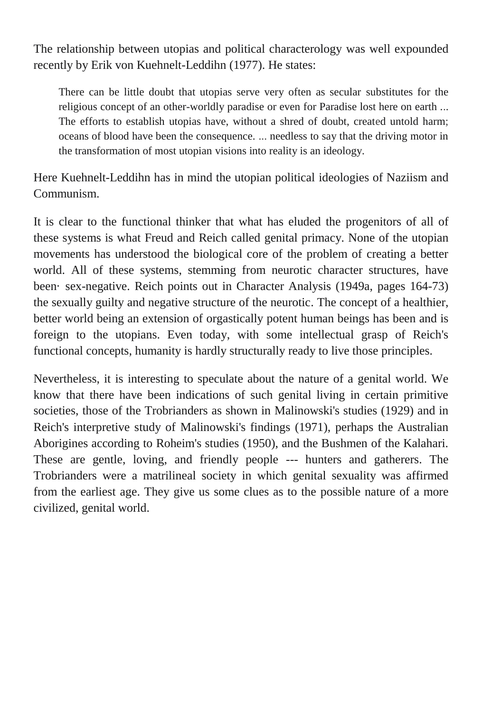The relationship between utopias and political characterology was well expounded recently by Erik von Kuehnelt-Leddihn (1977). He states:

There can be little doubt that utopias serve very often as secular substitutes for the religious concept of an other-worldly paradise or even for Paradise lost here on earth ... The efforts to establish utopias have, without a shred of doubt, created untold harm; oceans of blood have been the consequence. ... needless to say that the driving motor in the transformation of most utopian visions into reality is an ideology.

Here Kuehnelt-Leddihn has in mind the utopian political ideologies of Naziism and Communism.

It is clear to the functional thinker that what has eluded the progenitors of all of these systems is what Freud and Reich called genital primacy. None of the utopian movements has understood the biological core of the problem of creating a better world. All of these systems, stemming from neurotic character structures, have been· sex-negative. Reich points out in Character Analysis (1949a, pages 164-73) the sexually guilty and negative structure of the neurotic. The concept of a healthier, better world being an extension of orgastically potent human beings has been and is foreign to the utopians. Even today, with some intellectual grasp of Reich's functional concepts, humanity is hardly structurally ready to live those principles.

Nevertheless, it is interesting to speculate about the nature of a genital world. We know that there have been indications of such genital living in certain primitive societies, those of the Trobrianders as shown in Malinowski's studies (1929) and in Reich's interpretive study of Malinowski's findings (1971), perhaps the Australian Aborigines according to Roheim's studies (1950), and the Bushmen of the Kalahari. These are gentle, loving, and friendly people --- hunters and gatherers. The Trobrianders were a matrilineal society in which genital sexuality was affirmed from the earliest age. They give us some clues as to the possible nature of a more civilized, genital world.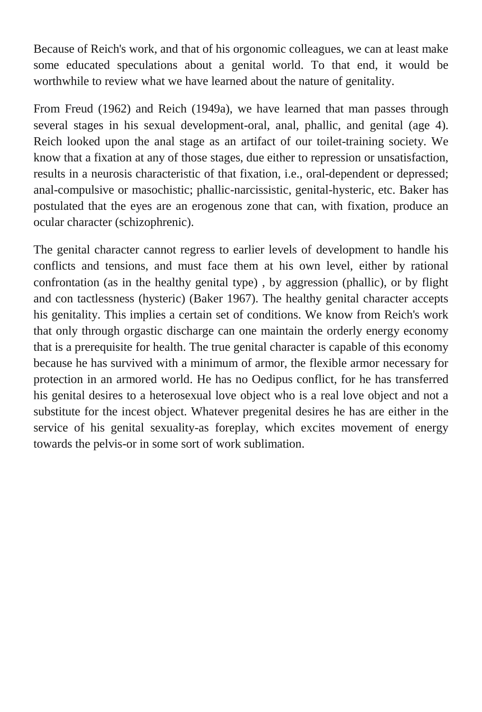Because of Reich's work, and that of his orgonomic colleagues, we can at least make some educated speculations about a genital world. To that end, it would be worthwhile to review what we have learned about the nature of genitality.

From Freud (1962) and Reich (1949a), we have learned that man passes through several stages in his sexual development-oral, anal, phallic, and genital (age 4). Reich looked upon the anal stage as an artifact of our toilet-training society. We know that a fixation at any of those stages, due either to repression or unsatisfaction, results in a neurosis characteristic of that fixation, i.e., oral-dependent or depressed; anal-compulsive or masochistic; phallic-narcissistic, genital-hysteric, etc. Baker has postulated that the eyes are an erogenous zone that can, with fixation, produce an ocular character (schizophrenic).

The genital character cannot regress to earlier levels of development to handle his conflicts and tensions, and must face them at his own level, either by rational confrontation (as in the healthy genital type) , by aggression (phallic), or by flight and con tactlessness (hysteric) (Baker 1967). The healthy genital character accepts his genitality. This implies a certain set of conditions. We know from Reich's work that only through orgastic discharge can one maintain the orderly energy economy that is a prerequisite for health. The true genital character is capable of this economy because he has survived with a minimum of armor, the flexible armor necessary for protection in an armored world. He has no Oedipus conflict, for he has transferred his genital desires to a heterosexual love object who is a real love object and not a substitute for the incest object. Whatever pregenital desires he has are either in the service of his genital sexuality-as foreplay, which excites movement of energy towards the pelvis-or in some sort of work sublimation.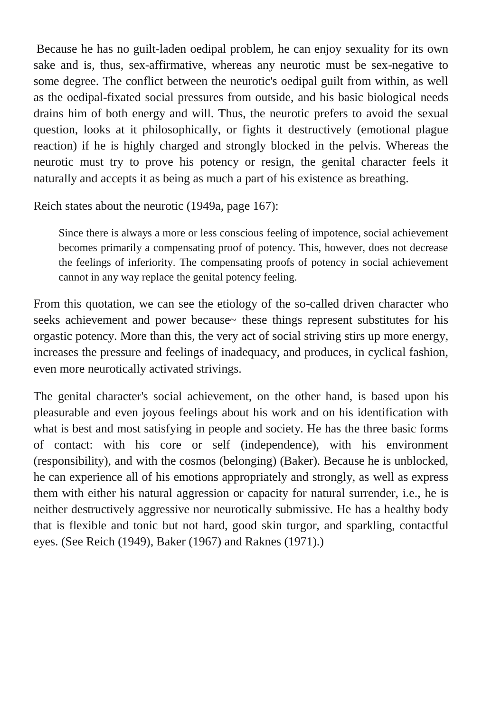Because he has no guilt-laden oedipal problem, he can enjoy sexuality for its own sake and is, thus, sex-affirmative, whereas any neurotic must be sex-negative to some degree. The conflict between the neurotic's oedipal guilt from within, as well as the oedipal-fixated social pressures from outside, and his basic biological needs drains him of both energy and will. Thus, the neurotic prefers to avoid the sexual question, looks at it philosophically, or fights it destructively (emotional plague reaction) if he is highly charged and strongly blocked in the pelvis. Whereas the neurotic must try to prove his potency or resign, the genital character feels it naturally and accepts it as being as much a part of his existence as breathing.

Reich states about the neurotic (1949a, page 167):

Since there is always a more or less conscious feeling of impotence, social achievement becomes primarily a compensating proof of potency. This, however, does not decrease the feelings of inferiority. The compensating proofs of potency in social achievement cannot in any way replace the genital potency feeling.

From this quotation, we can see the etiology of the so-called driven character who seeks achievement and power because~ these things represent substitutes for his orgastic potency. More than this, the very act of social striving stirs up more energy, increases the pressure and feelings of inadequacy, and produces, in cyclical fashion, even more neurotically activated strivings.

The genital character's social achievement, on the other hand, is based upon his pleasurable and even joyous feelings about his work and on his identification with what is best and most satisfying in people and society. He has the three basic forms of contact: with his core or self (independence), with his environment (responsibility), and with the cosmos (belonging) (Baker). Because he is unblocked, he can experience all of his emotions appropriately and strongly, as well as express them with either his natural aggression or capacity for natural surrender, i.e., he is neither destructively aggressive nor neurotically submissive. He has a healthy body that is flexible and tonic but not hard, good skin turgor, and sparkling, contactful eyes. (See Reich (1949), Baker (1967) and Raknes (1971).)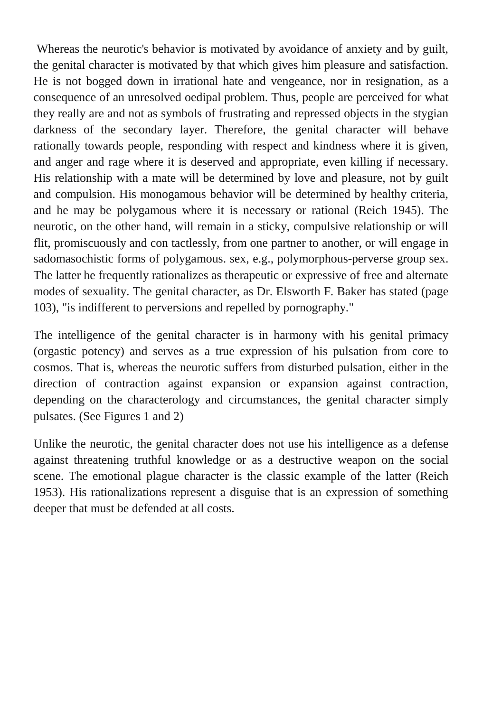Whereas the neurotic's behavior is motivated by avoidance of anxiety and by guilt, the genital character is motivated by that which gives him pleasure and satisfaction. He is not bogged down in irrational hate and vengeance, nor in resignation, as a consequence of an unresolved oedipal problem. Thus, people are perceived for what they really are and not as symbols of frustrating and repressed objects in the stygian darkness of the secondary layer. Therefore, the genital character will behave rationally towards people, responding with respect and kindness where it is given, and anger and rage where it is deserved and appropriate, even killing if necessary. His relationship with a mate will be determined by love and pleasure, not by guilt and compulsion. His monogamous behavior will be determined by healthy criteria, and he may be polygamous where it is necessary or rational (Reich 1945). The neurotic, on the other hand, will remain in a sticky, compulsive relationship or will flit, promiscuously and con tactlessly, from one partner to another, or will engage in sadomasochistic forms of polygamous. sex, e.g., polymorphous-perverse group sex. The latter he frequently rationalizes as therapeutic or expressive of free and alternate modes of sexuality. The genital character, as Dr. Elsworth F. Baker has stated (page 103), "is indifferent to perversions and repelled by pornography."

The intelligence of the genital character is in harmony with his genital primacy (orgastic potency) and serves as a true expression of his pulsation from core to cosmos. That is, whereas the neurotic suffers from disturbed pulsation, either in the direction of contraction against expansion or expansion against contraction, depending on the characterology and circumstances, the genital character simply pulsates. (See Figures 1 and 2)

Unlike the neurotic, the genital character does not use his intelligence as a defense against threatening truthful knowledge or as a destructive weapon on the social scene. The emotional plague character is the classic example of the latter (Reich 1953). His rationalizations represent a disguise that is an expression of something deeper that must be defended at all costs.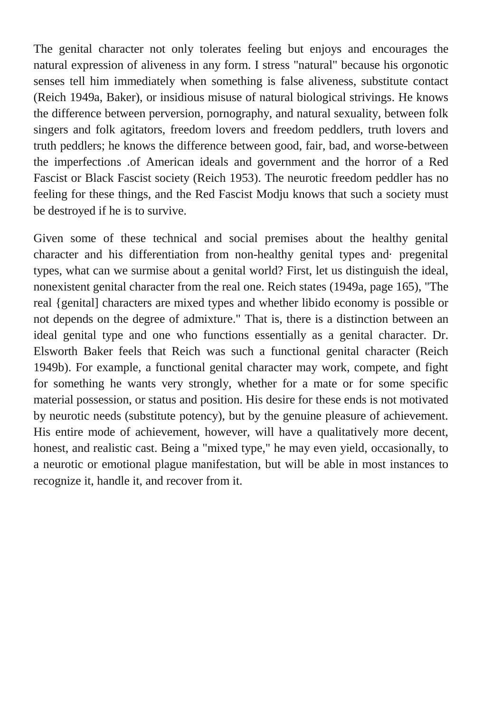The genital character not only tolerates feeling but enjoys and encourages the natural expression of aliveness in any form. I stress "natural" because his orgonotic senses tell him immediately when something is false aliveness, substitute contact (Reich 1949a, Baker), or insidious misuse of natural biological strivings. He knows the difference between perversion, pornography, and natural sexuality, between folk singers and folk agitators, freedom lovers and freedom peddlers, truth lovers and truth peddlers; he knows the difference between good, fair, bad, and worse-between the imperfections .of American ideals and government and the horror of a Red Fascist or Black Fascist society (Reich 1953). The neurotic freedom peddler has no feeling for these things, and the Red Fascist Modju knows that such a society must be destroyed if he is to survive.

Given some of these technical and social premises about the healthy genital character and his differentiation from non-healthy genital types and· pregenital types, what can we surmise about a genital world? First, let us distinguish the ideal, nonexistent genital character from the real one. Reich states (1949a, page 165), "The real {genital] characters are mixed types and whether libido economy is possible or not depends on the degree of admixture." That is, there is a distinction between an ideal genital type and one who functions essentially as a genital character. Dr. Elsworth Baker feels that Reich was such a functional genital character (Reich 1949b). For example, a functional genital character may work, compete, and fight for something he wants very strongly, whether for a mate or for some specific material possession, or status and position. His desire for these ends is not motivated by neurotic needs (substitute potency), but by the genuine pleasure of achievement. His entire mode of achievement, however, will have a qualitatively more decent, honest, and realistic cast. Being a "mixed type," he may even yield, occasionally, to a neurotic or emotional plague manifestation, but will be able in most instances to recognize it, handle it, and recover from it.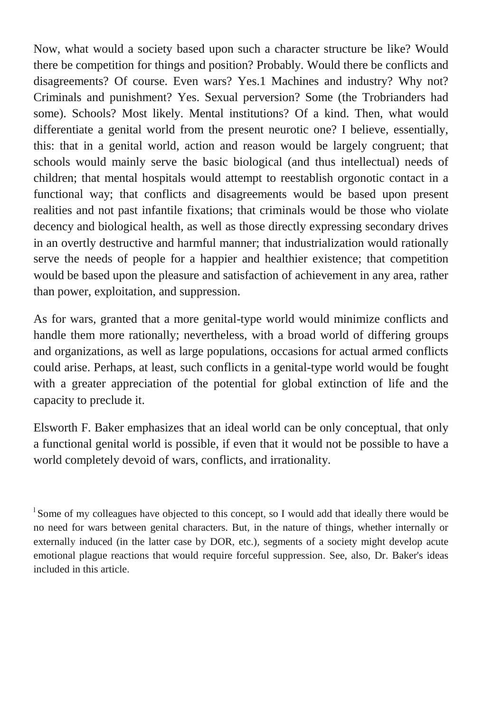Now, what would a society based upon such a character structure be like? Would there be competition for things and position? Probably. Would there be conflicts and disagreements? Of course. Even wars? Yes.1 Machines and industry? Why not? Criminals and punishment? Yes. Sexual perversion? Some (the Trobrianders had some). Schools? Most likely. Mental institutions? Of a kind. Then, what would differentiate a genital world from the present neurotic one? I believe, essentially, this: that in a genital world, action and reason would be largely congruent; that schools would mainly serve the basic biological (and thus intellectual) needs of children; that mental hospitals would attempt to reestablish orgonotic contact in a functional way; that conflicts and disagreements would be based upon present realities and not past infantile fixations; that criminals would be those who violate decency and biological health, as well as those directly expressing secondary drives in an overtly destructive and harmful manner; that industrialization would rationally serve the needs of people for a happier and healthier existence; that competition would be based upon the pleasure and satisfaction of achievement in any area, rather than power, exploitation, and suppression.

As for wars, granted that a more genital-type world would minimize conflicts and handle them more rationally; nevertheless, with a broad world of differing groups and organizations, as well as large populations, occasions for actual armed conflicts could arise. Perhaps, at least, such conflicts in a genital-type world would be fought with a greater appreciation of the potential for global extinction of life and the capacity to preclude it.

Elsworth F. Baker emphasizes that an ideal world can be only conceptual, that only a functional genital world is possible, if even that it would not be possible to have a world completely devoid of wars, conflicts, and irrationality.

<sup>&</sup>lt;sup>1</sup> Some of my colleagues have objected to this concept, so I would add that ideally there would be no need for wars between genital characters. But, in the nature of things, whether internally or externally induced (in the latter case by DOR, etc.), segments of a society might develop acute emotional plague reactions that would require forceful suppression. See, also, Dr. Baker's ideas included in this article.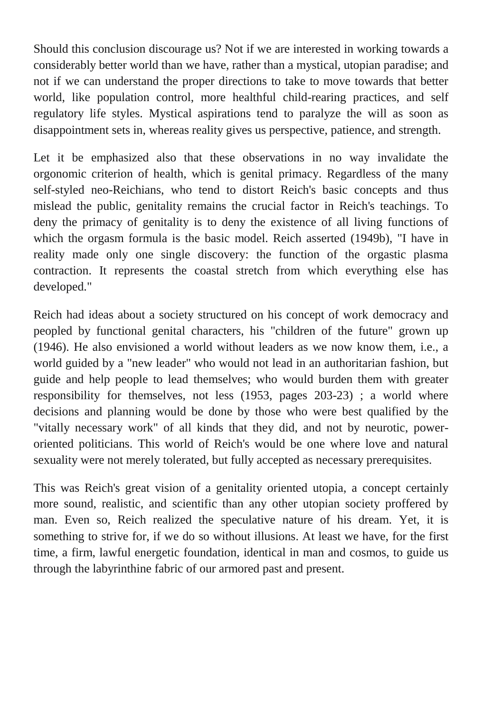Should this conclusion discourage us? Not if we are interested in working towards a considerably better world than we have, rather than a mystical, utopian paradise; and not if we can understand the proper directions to take to move towards that better world, like population control, more healthful child-rearing practices, and self regulatory life styles. Mystical aspirations tend to paralyze the will as soon as disappointment sets in, whereas reality gives us perspective, patience, and strength.

Let it be emphasized also that these observations in no way invalidate the orgonomic criterion of health, which is genital primacy. Regardless of the many self-styled neo-Reichians, who tend to distort Reich's basic concepts and thus mislead the public, genitality remains the crucial factor in Reich's teachings. To deny the primacy of genitality is to deny the existence of all living functions of which the orgasm formula is the basic model. Reich asserted (1949b), "I have in reality made only one single discovery: the function of the orgastic plasma contraction. It represents the coastal stretch from which everything else has developed."

Reich had ideas about a society structured on his concept of work democracy and peopled by functional genital characters, his "children of the future" grown up (1946). He also envisioned a world without leaders as we now know them, i.e., a world guided by a "new leader" who would not lead in an authoritarian fashion, but guide and help people to lead themselves; who would burden them with greater responsibility for themselves, not less (1953, pages 203-23) ; a world where decisions and planning would be done by those who were best qualified by the "vitally necessary work" of all kinds that they did, and not by neurotic, poweroriented politicians. This world of Reich's would be one where love and natural sexuality were not merely tolerated, but fully accepted as necessary prerequisites.

This was Reich's great vision of a genitality oriented utopia, a concept certainly more sound, realistic, and scientific than any other utopian society proffered by man. Even so, Reich realized the speculative nature of his dream. Yet, it is something to strive for, if we do so without illusions. At least we have, for the first time, a firm, lawful energetic foundation, identical in man and cosmos, to guide us through the labyrinthine fabric of our armored past and present.